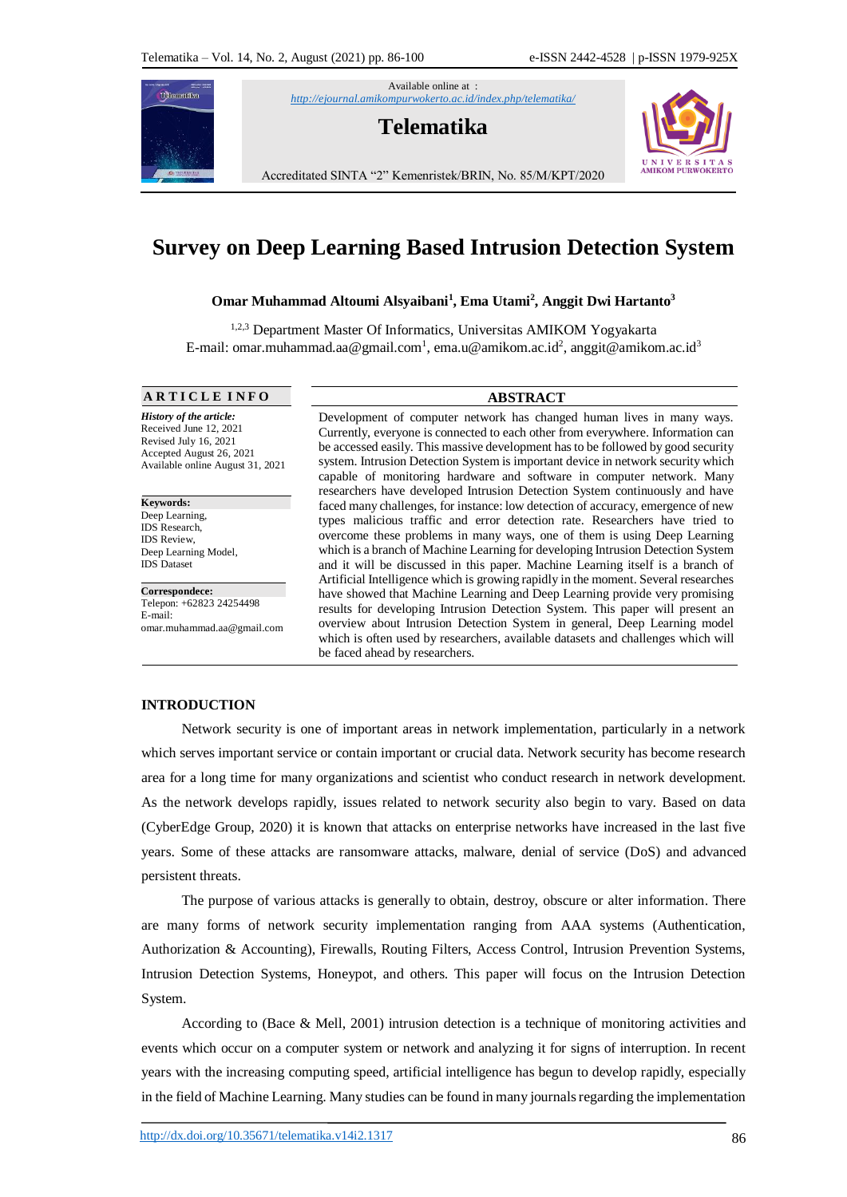Available online at : *<http://ejournal.amikompurwokerto.ac.id/index.php/telematika/>*





Accreditated SINTA "2" Kemenristek/BRIN, No. 85/M/KPT/2020

# **Survey on Deep Learning Based Intrusion Detection System**

# **Omar Muhammad Altoumi Alsyaibani<sup>1</sup> , Ema Utami<sup>2</sup> , Anggit Dwi Hartanto<sup>3</sup>**

1,2,3 Department Master Of Informatics, Universitas AMIKOM Yogyakarta E-mail: omar.muhammad.aa@gmail.com<sup>1</sup>, ema.u@amikom.ac.id<sup>2</sup>, anggit@amikom.ac.id<sup>3</sup>

**A R T I C L E I N F O ABSTRACT**

T**e**lematika

*History of the article:* Received June 12, 2021 Revised July 16, 2021 Accepted August 26, 2021 Available online August 31, 2021

**Keywords:**  Deep Learning, IDS Research, IDS Review, Deep Learning Model, IDS Dataset

**Correspondece:** Telepon: +62823 24254498 E-mail: omar.muhammad.aa@gmail.com

Development of computer network has changed human lives in many ways. Currently, everyone is connected to each other from everywhere. Information can be accessed easily. This massive development has to be followed by good security system. Intrusion Detection System is important device in network security which capable of monitoring hardware and software in computer network. Many researchers have developed Intrusion Detection System continuously and have faced many challenges, for instance: low detection of accuracy, emergence of new types malicious traffic and error detection rate. Researchers have tried to overcome these problems in many ways, one of them is using Deep Learning which is a branch of Machine Learning for developing Intrusion Detection System and it will be discussed in this paper. Machine Learning itself is a branch of Artificial Intelligence which is growing rapidly in the moment. Several researches have showed that Machine Learning and Deep Learning provide very promising results for developing Intrusion Detection System. This paper will present an overview about Intrusion Detection System in general, Deep Learning model which is often used by researchers, available datasets and challenges which will be faced ahead by researchers.

#### **INTRODUCTION**

Network security is one of important areas in network implementation, particularly in a network which serves important service or contain important or crucial data. Network security has become research area for a long time for many organizations and scientist who conduct research in network development. As the network develops rapidly, issues related to network security also begin to vary. Based on data (CyberEdge Group, 2020) it is known that attacks on enterprise networks have increased in the last five years. Some of these attacks are ransomware attacks, malware, denial of service (DoS) and advanced persistent threats.

The purpose of various attacks is generally to obtain, destroy, obscure or alter information. There are many forms of network security implementation ranging from AAA systems (Authentication, Authorization & Accounting), Firewalls, Routing Filters, Access Control, Intrusion Prevention Systems, Intrusion Detection Systems, Honeypot, and others. This paper will focus on the Intrusion Detection System.

According to (Bace & Mell, 2001) intrusion detection is a technique of monitoring activities and events which occur on a computer system or network and analyzing it for signs of interruption. In recent years with the increasing computing speed, artificial intelligence has begun to develop rapidly, especially in the field of Machine Learning. Many studies can be found in many journals regarding the implementation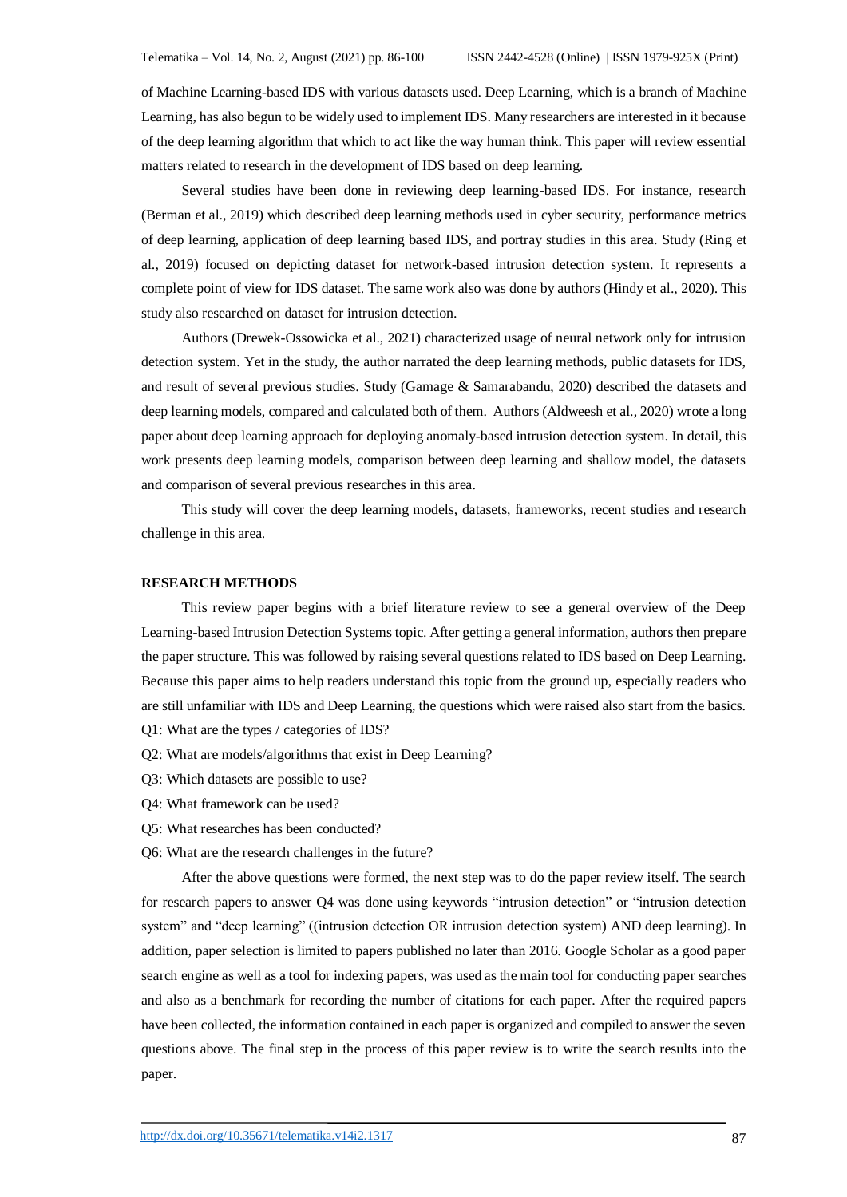of Machine Learning-based IDS with various datasets used. Deep Learning, which is a branch of Machine Learning, has also begun to be widely used to implement IDS. Many researchers are interested in it because of the deep learning algorithm that which to act like the way human think. This paper will review essential matters related to research in the development of IDS based on deep learning.

Several studies have been done in reviewing deep learning-based IDS. For instance, research (Berman et al., 2019) which described deep learning methods used in cyber security, performance metrics of deep learning, application of deep learning based IDS, and portray studies in this area. Study (Ring et al., 2019) focused on depicting dataset for network-based intrusion detection system. It represents a complete point of view for IDS dataset. The same work also was done by authors (Hindy et al., 2020). This study also researched on dataset for intrusion detection.

Authors (Drewek-Ossowicka et al., 2021) characterized usage of neural network only for intrusion detection system. Yet in the study, the author narrated the deep learning methods, public datasets for IDS, and result of several previous studies. Study (Gamage & Samarabandu, 2020) described the datasets and deep learning models, compared and calculated both of them. Authors (Aldweesh et al., 2020) wrote a long paper about deep learning approach for deploying anomaly-based intrusion detection system. In detail, this work presents deep learning models, comparison between deep learning and shallow model, the datasets and comparison of several previous researches in this area.

This study will cover the deep learning models, datasets, frameworks, recent studies and research challenge in this area.

#### **RESEARCH METHODS**

This review paper begins with a brief literature review to see a general overview of the Deep Learning-based Intrusion Detection Systems topic. After getting a general information, authors then prepare the paper structure. This was followed by raising several questions related to IDS based on Deep Learning. Because this paper aims to help readers understand this topic from the ground up, especially readers who are still unfamiliar with IDS and Deep Learning, the questions which were raised also start from the basics. Q1: What are the types / categories of IDS?

- Q2: What are models/algorithms that exist in Deep Learning?
- Q3: Which datasets are possible to use?
- Q4: What framework can be used?
- Q5: What researches has been conducted?
- Q6: What are the research challenges in the future?

After the above questions were formed, the next step was to do the paper review itself. The search for research papers to answer Q4 was done using keywords "intrusion detection" or "intrusion detection system" and "deep learning" ((intrusion detection OR intrusion detection system) AND deep learning). In addition, paper selection is limited to papers published no later than 2016. Google Scholar as a good paper search engine as well as a tool for indexing papers, was used as the main tool for conducting paper searches and also as a benchmark for recording the number of citations for each paper. After the required papers have been collected, the information contained in each paper is organized and compiled to answer the seven questions above. The final step in the process of this paper review is to write the search results into the paper.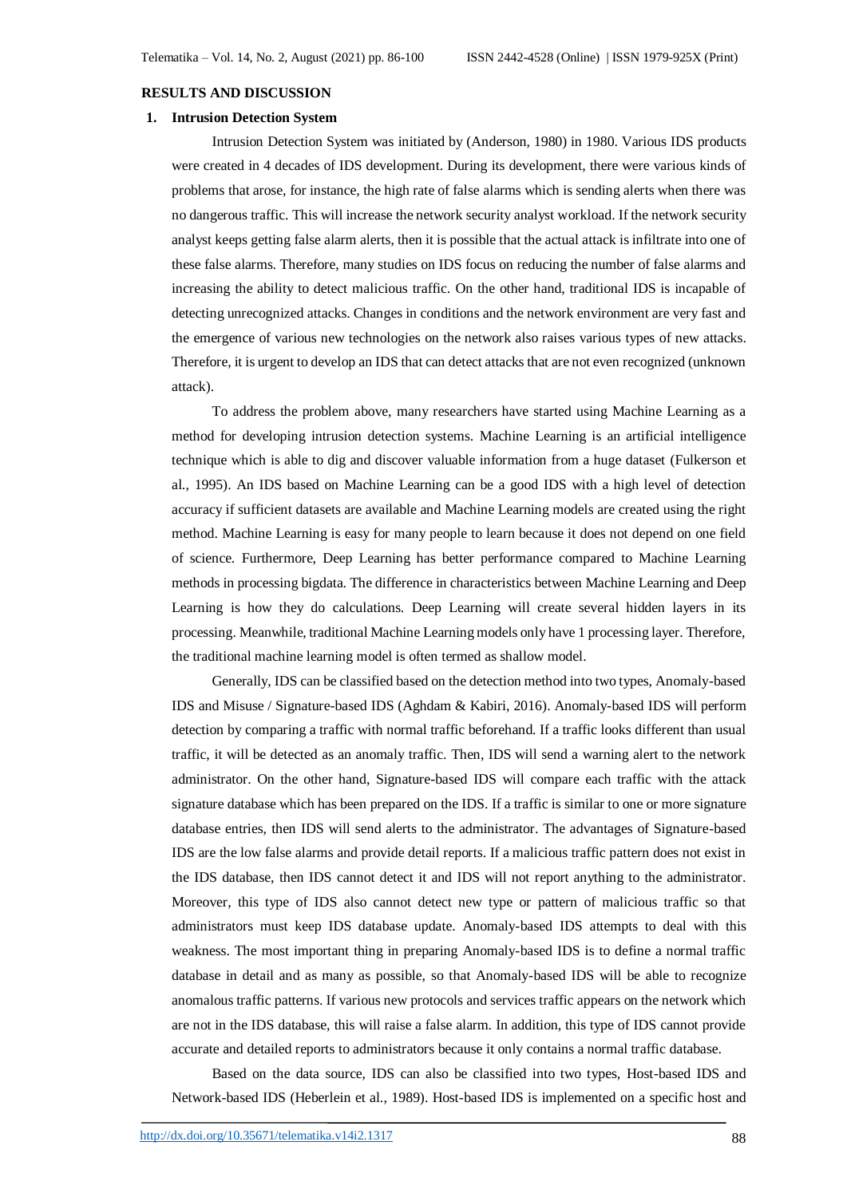#### **RESULTS AND DISCUSSION**

#### **1. Intrusion Detection System**

Intrusion Detection System was initiated by (Anderson, 1980) in 1980. Various IDS products were created in 4 decades of IDS development. During its development, there were various kinds of problems that arose, for instance, the high rate of false alarms which is sending alerts when there was no dangerous traffic. This will increase the network security analyst workload. If the network security analyst keeps getting false alarm alerts, then it is possible that the actual attack is infiltrate into one of these false alarms. Therefore, many studies on IDS focus on reducing the number of false alarms and increasing the ability to detect malicious traffic. On the other hand, traditional IDS is incapable of detecting unrecognized attacks. Changes in conditions and the network environment are very fast and the emergence of various new technologies on the network also raises various types of new attacks. Therefore, it is urgent to develop an IDS that can detect attacks that are not even recognized (unknown attack).

To address the problem above, many researchers have started using Machine Learning as a method for developing intrusion detection systems. Machine Learning is an artificial intelligence technique which is able to dig and discover valuable information from a huge dataset (Fulkerson et al., 1995). An IDS based on Machine Learning can be a good IDS with a high level of detection accuracy if sufficient datasets are available and Machine Learning models are created using the right method. Machine Learning is easy for many people to learn because it does not depend on one field of science. Furthermore, Deep Learning has better performance compared to Machine Learning methods in processing bigdata. The difference in characteristics between Machine Learning and Deep Learning is how they do calculations. Deep Learning will create several hidden layers in its processing. Meanwhile, traditional Machine Learning models only have 1 processing layer. Therefore, the traditional machine learning model is often termed as shallow model.

Generally, IDS can be classified based on the detection method into two types, Anomaly-based IDS and Misuse / Signature-based IDS (Aghdam & Kabiri, 2016). Anomaly-based IDS will perform detection by comparing a traffic with normal traffic beforehand. If a traffic looks different than usual traffic, it will be detected as an anomaly traffic. Then, IDS will send a warning alert to the network administrator. On the other hand, Signature-based IDS will compare each traffic with the attack signature database which has been prepared on the IDS. If a traffic is similar to one or more signature database entries, then IDS will send alerts to the administrator. The advantages of Signature-based IDS are the low false alarms and provide detail reports. If a malicious traffic pattern does not exist in the IDS database, then IDS cannot detect it and IDS will not report anything to the administrator. Moreover, this type of IDS also cannot detect new type or pattern of malicious traffic so that administrators must keep IDS database update. Anomaly-based IDS attempts to deal with this weakness. The most important thing in preparing Anomaly-based IDS is to define a normal traffic database in detail and as many as possible, so that Anomaly-based IDS will be able to recognize anomalous traffic patterns. If various new protocols and services traffic appears on the network which are not in the IDS database, this will raise a false alarm. In addition, this type of IDS cannot provide accurate and detailed reports to administrators because it only contains a normal traffic database.

Based on the data source, IDS can also be classified into two types, Host-based IDS and Network-based IDS (Heberlein et al., 1989). Host-based IDS is implemented on a specific host and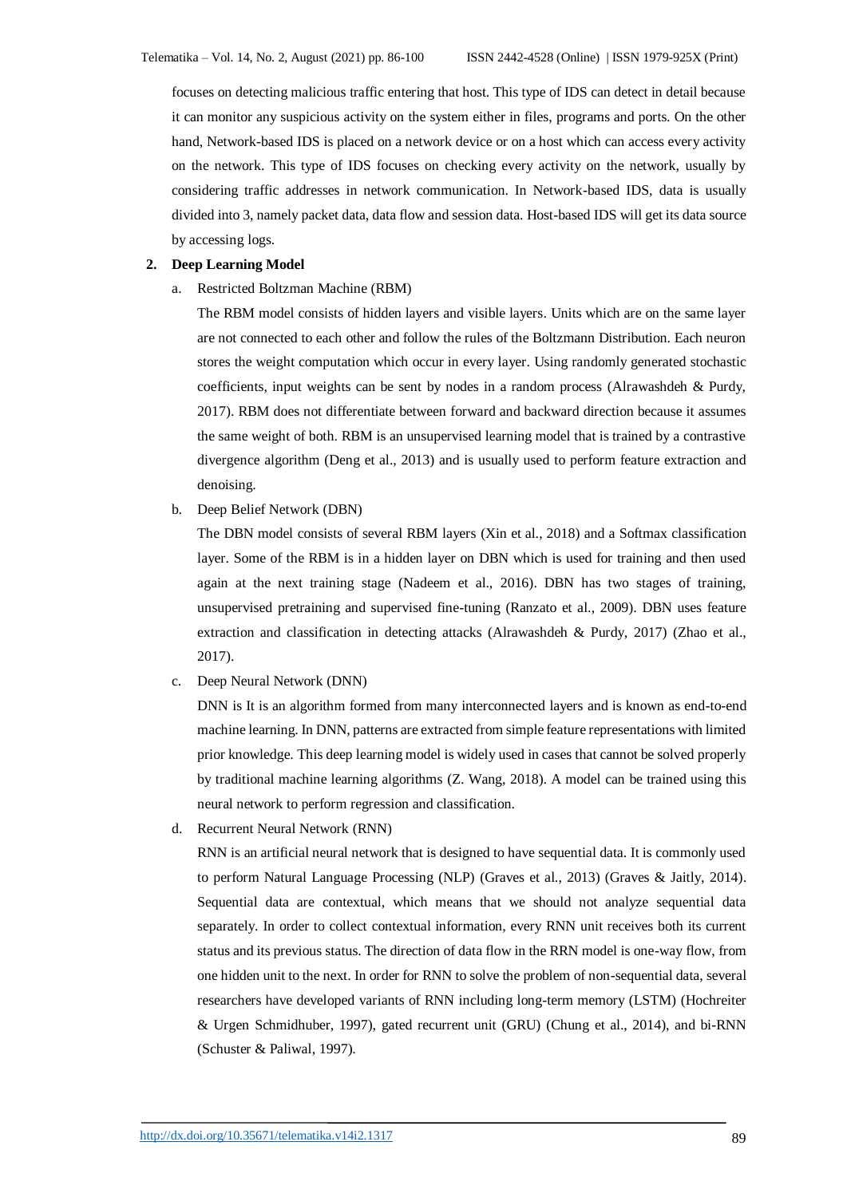focuses on detecting malicious traffic entering that host. This type of IDS can detect in detail because it can monitor any suspicious activity on the system either in files, programs and ports. On the other hand, Network-based IDS is placed on a network device or on a host which can access every activity on the network. This type of IDS focuses on checking every activity on the network, usually by considering traffic addresses in network communication. In Network-based IDS, data is usually divided into 3, namely packet data, data flow and session data. Host-based IDS will get its data source by accessing logs.

#### **2. Deep Learning Model**

a. Restricted Boltzman Machine (RBM)

The RBM model consists of hidden layers and visible layers. Units which are on the same layer are not connected to each other and follow the rules of the Boltzmann Distribution. Each neuron stores the weight computation which occur in every layer. Using randomly generated stochastic coefficients, input weights can be sent by nodes in a random process (Alrawashdeh & Purdy, 2017). RBM does not differentiate between forward and backward direction because it assumes the same weight of both. RBM is an unsupervised learning model that is trained by a contrastive divergence algorithm (Deng et al., 2013) and is usually used to perform feature extraction and denoising.

b. Deep Belief Network (DBN)

The DBN model consists of several RBM layers (Xin et al., 2018) and a Softmax classification layer. Some of the RBM is in a hidden layer on DBN which is used for training and then used again at the next training stage (Nadeem et al., 2016). DBN has two stages of training, unsupervised pretraining and supervised fine-tuning (Ranzato et al., 2009). DBN uses feature extraction and classification in detecting attacks (Alrawashdeh & Purdy, 2017) (Zhao et al., 2017).

c. Deep Neural Network (DNN)

DNN is It is an algorithm formed from many interconnected layers and is known as end-to-end machine learning. In DNN, patterns are extracted from simple feature representations with limited prior knowledge. This deep learning model is widely used in cases that cannot be solved properly by traditional machine learning algorithms (Z. Wang, 2018). A model can be trained using this neural network to perform regression and classification.

d. Recurrent Neural Network (RNN)

RNN is an artificial neural network that is designed to have sequential data. It is commonly used to perform Natural Language Processing (NLP) (Graves et al., 2013) (Graves & Jaitly, 2014). Sequential data are contextual, which means that we should not analyze sequential data separately. In order to collect contextual information, every RNN unit receives both its current status and its previous status. The direction of data flow in the RRN model is one-way flow, from one hidden unit to the next. In order for RNN to solve the problem of non-sequential data, several researchers have developed variants of RNN including long-term memory (LSTM) (Hochreiter & Urgen Schmidhuber, 1997), gated recurrent unit (GRU) (Chung et al., 2014), and bi-RNN (Schuster & Paliwal, 1997).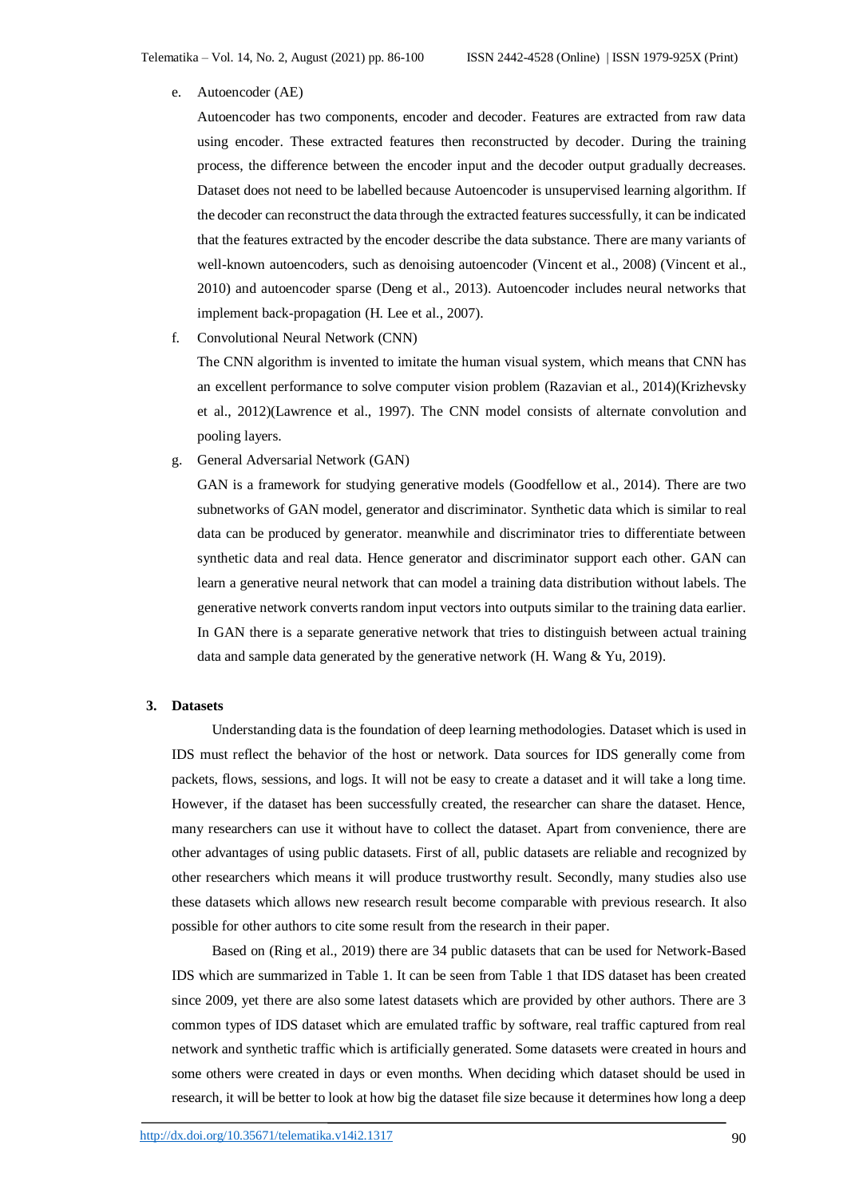e. Autoencoder (AE)

Autoencoder has two components, encoder and decoder. Features are extracted from raw data using encoder. These extracted features then reconstructed by decoder. During the training process, the difference between the encoder input and the decoder output gradually decreases. Dataset does not need to be labelled because Autoencoder is unsupervised learning algorithm. If the decoder can reconstruct the data through the extracted features successfully, it can be indicated that the features extracted by the encoder describe the data substance. There are many variants of well-known autoencoders, such as denoising autoencoder (Vincent et al., 2008) (Vincent et al., 2010) and autoencoder sparse (Deng et al., 2013). Autoencoder includes neural networks that implement back-propagation (H. Lee et al., 2007).

f. Convolutional Neural Network (CNN)

The CNN algorithm is invented to imitate the human visual system, which means that CNN has an excellent performance to solve computer vision problem (Razavian et al., 2014)(Krizhevsky et al., 2012)(Lawrence et al., 1997). The CNN model consists of alternate convolution and pooling layers.

g. General Adversarial Network (GAN)

GAN is a framework for studying generative models (Goodfellow et al., 2014). There are two subnetworks of GAN model, generator and discriminator. Synthetic data which is similar to real data can be produced by generator. meanwhile and discriminator tries to differentiate between synthetic data and real data. Hence generator and discriminator support each other. GAN can learn a generative neural network that can model a training data distribution without labels. The generative network converts random input vectors into outputs similar to the training data earlier. In GAN there is a separate generative network that tries to distinguish between actual training data and sample data generated by the generative network (H. Wang & Yu, 2019).

# **3. Datasets**

Understanding data is the foundation of deep learning methodologies. Dataset which is used in IDS must reflect the behavior of the host or network. Data sources for IDS generally come from packets, flows, sessions, and logs. It will not be easy to create a dataset and it will take a long time. However, if the dataset has been successfully created, the researcher can share the dataset. Hence, many researchers can use it without have to collect the dataset. Apart from convenience, there are other advantages of using public datasets. First of all, public datasets are reliable and recognized by other researchers which means it will produce trustworthy result. Secondly, many studies also use these datasets which allows new research result become comparable with previous research. It also possible for other authors to cite some result from the research in their paper.

Based on (Ring et al., 2019) there are 34 public datasets that can be used for Network-Based IDS which are summarized in Table 1. It can be seen from Table 1 that IDS dataset has been created since 2009, yet there are also some latest datasets which are provided by other authors. There are 3 common types of IDS dataset which are emulated traffic by software, real traffic captured from real network and synthetic traffic which is artificially generated. Some datasets were created in hours and some others were created in days or even months. When deciding which dataset should be used in research, it will be better to look at how big the dataset file size because it determines how long a deep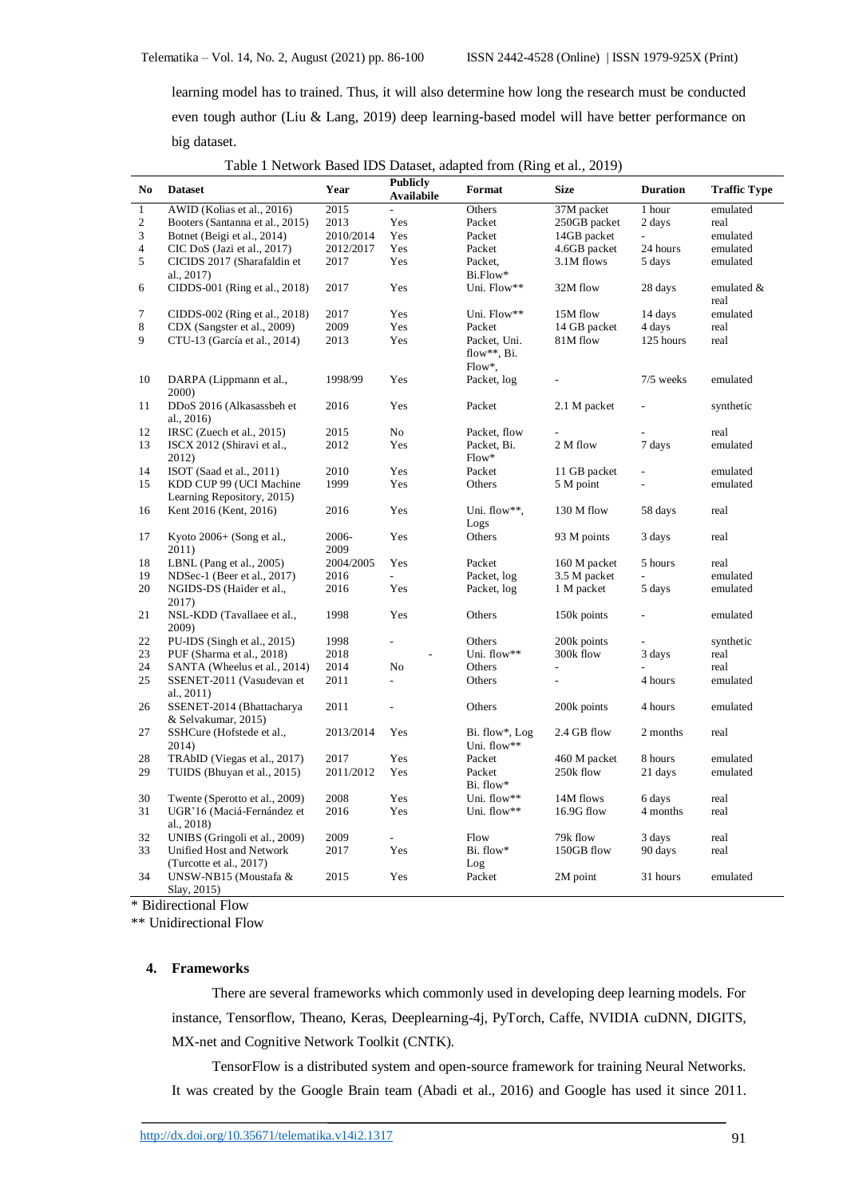learning model has to trained. Thus, it will also determine how long the research must be conducted even tough author (Liu & Lang, 2019) deep learning-based model will have better performance on big dataset.

|                |                                          |           | <b>Publicly</b>          |                                |                |                 |                     |
|----------------|------------------------------------------|-----------|--------------------------|--------------------------------|----------------|-----------------|---------------------|
| No             | <b>Dataset</b>                           | Year      | <b>Availabile</b>        | Format                         | <b>Size</b>    | <b>Duration</b> | <b>Traffic Type</b> |
| $\mathbf{1}$   | AWID (Kolias et al., 2016)               | 2015      | $\overline{a}$           | Others                         | 37M packet     | 1 hour          | emulated            |
| 2              | Booters (Santanna et al., 2015)          | 2013      | Yes                      | Packet                         | 250GB packet   | 2 days          | real                |
| 3              | Botnet (Beigi et al., 2014)              | 2010/2014 | Yes                      | Packet                         | 14GB packet    | $\omega$        | emulated            |
| $\overline{4}$ | CIC DoS (Jazi et al., 2017)              | 2012/2017 | Yes                      | Packet                         | 4.6GB packet   | 24 hours        | emulated            |
| 5              | CICIDS 2017 (Sharafaldin et              | 2017      | Yes                      | Packet,                        | 3.1M flows     | 5 days          | emulated            |
|                | al., 2017)                               |           |                          | Bi.Flow*                       |                |                 |                     |
| 6              | CIDDS-001 (Ring et al., 2018)            | 2017      | Yes                      | Uni. Flow**                    | 32M flow       | 28 days         | emulated &<br>real  |
| 7              | CIDDS-002 (Ring et al., 2018)            | 2017      | <b>Yes</b>               | Uni. Flow**                    | 15M flow       | 14 days         | emulated            |
| 8              | CDX (Sangster et al., 2009)              | 2009      | Yes                      | Packet                         | 14 GB packet   | 4 days          | real                |
| 9              | CTU-13 (García et al., 2014)             | 2013      | Yes                      | Packet, Uni.<br>flow**, $Bi$ . | 81M flow       | 125 hours       | real                |
|                |                                          |           |                          | $Flow^*,$                      |                |                 |                     |
| 10             | DARPA (Lippmann et al.,<br>2000)         | 1998/99   | Yes                      | Packet, log                    | $\overline{a}$ | 7/5 weeks       | emulated            |
| 11             | DDoS 2016 (Alkasassbeh et<br>al., $2016$ | 2016      | Yes                      | Packet                         | 2.1 M packet   |                 | synthetic           |
| 12             | IRSC (Zuech et al., 2015)                | 2015      | N <sub>o</sub>           | Packet. flow                   |                |                 | real                |
| 13             | ISCX 2012 (Shiravi et al.,               | 2012      | Yes                      | Packet, Bi.                    | 2 M flow       | 7 days          | emulated            |
|                | 2012)                                    |           |                          | $Flow*$                        |                |                 |                     |
| 14             | ISOT (Saad et al., 2011)                 | 2010      | Yes                      | Packet                         | 11 GB packet   |                 | emulated            |
| 15             | KDD CUP 99 (UCI Machine                  | 1999      | Yes                      | Others                         | 5 M point      |                 | emulated            |
|                | Learning Repository, 2015)               |           |                          |                                |                |                 |                     |
| 16             | Kent 2016 (Kent, 2016)                   | 2016      | Yes                      | Uni. flow**.<br>Logs           | 130 M flow     | 58 days         | real                |
| 17             | Kyoto $2006+$ (Song et al.,              | 2006-     | Yes                      | Others                         | 93 M points    | 3 days          | real                |
|                | 2011)                                    | 2009      |                          |                                |                |                 |                     |
| 18             | LBNL (Pang et al., $2005$ )              | 2004/2005 | Yes                      | Packet                         | 160 M packet   | 5 hours         | real                |
| 19             | NDSec-1 (Beer et al., 2017)              | 2016      | $\overline{a}$           | Packet, log                    | 3.5 M packet   |                 | emulated            |
| 20             | NGIDS-DS (Haider et al.,                 | 2016      | Yes                      | Packet, log                    | 1 M packet     | 5 days          | emulated            |
|                | 2017)                                    |           |                          |                                |                |                 |                     |
| 21             | NSL-KDD (Tavallaee et al.,               | 1998      | Yes                      | Others                         | 150k points    |                 | emulated            |
|                | 2009)                                    |           |                          |                                |                |                 |                     |
| 22             | PU-IDS (Singh et al., 2015)              | 1998      | $\overline{\phantom{a}}$ | Others                         | 200k points    |                 | synthetic           |
| 23             | PUF (Sharma et al., 2018)                | 2018      |                          | Uni. flow**                    | 300k flow      | 3 days          | real                |
| 24             | SANTA (Wheelus et al., 2014)             | 2014      | No                       | Others                         |                |                 | real                |
| 25             | SSENET-2011 (Vasudevan et                | 2011      | $\frac{1}{2}$            | Others                         |                | 4 hours         | emulated            |
|                | al., $2011$ )                            |           |                          |                                |                |                 |                     |
| 26             | SSENET-2014 (Bhattacharya                | 2011      | L,                       | Others                         | 200k points    | 4 hours         | emulated            |
|                | & Selvakumar, 2015)                      |           |                          |                                |                |                 |                     |
| 27             | SSHCure (Hofstede et al.,                | 2013/2014 | Yes                      | Bi. flow*, Log                 | 2.4 GB flow    | 2 months        | real                |
|                | 2014)                                    |           |                          | Uni. flow**                    |                |                 |                     |
| 28             | TRAbID (Viegas et al., 2017)             | 2017      | Yes                      | Packet                         | 460 M packet   | 8 hours         | emulated            |
| 29             | TUIDS (Bhuyan et al., 2015)              | 2011/2012 | Yes                      | Packet                         | 250k flow      | 21 days         | emulated            |
|                |                                          |           |                          | Bi. flow*                      |                |                 |                     |
| 30             | Twente (Sperotto et al., 2009)           | 2008      | Yes                      | Uni. flow**                    | 14M flows      | 6 days          | real                |
| 31             | UGR'16 (Maciá-Fernández et<br>al., 2018) | 2016      | Yes                      | Uni. flow**                    | 16.9G flow     | 4 months        | real                |
| 32             | UNIBS (Gringoli et al., 2009)            | 2009      |                          | Flow                           | 79k flow       | 3 days          | real                |
| 33             | Unified Host and Network                 | 2017      | Yes                      | Bi. flow*                      | 150GB flow     | 90 days         | real                |
|                | (Turcotte et al., 2017)                  |           |                          | Log                            |                |                 |                     |
| 34             | UNSW-NB15 (Moustafa &<br>Slay, 2015)     | 2015      | Yes                      | Packet                         | 2M point       | 31 hours        | emulated            |

Table 1 Network Based IDS Dataset, adapted from (Ring et al., 2019)

\* Bidirectional Flow

\*\* Unidirectional Flow

## **4. Frameworks**

There are several frameworks which commonly used in developing deep learning models. For instance, Tensorflow, Theano, Keras, Deeplearning-4j, PyTorch, Caffe, NVIDIA cuDNN, DIGITS, MX-net and Cognitive Network Toolkit (CNTK).

TensorFlow is a distributed system and open-source framework for training Neural Networks. It was created by the Google Brain team (Abadi et al., 2016) and Google has used it since 2011.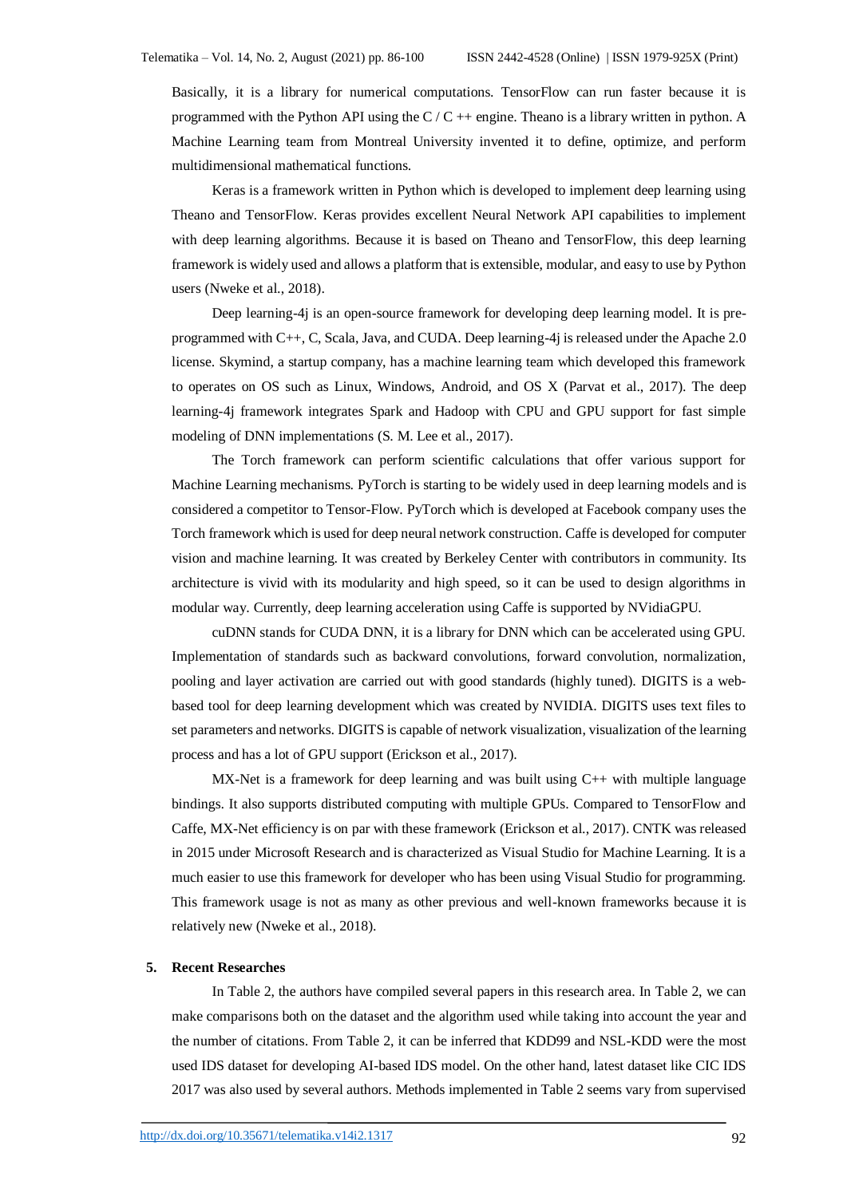Basically, it is a library for numerical computations. TensorFlow can run faster because it is programmed with the Python API using the  $C/C$  ++ engine. Theano is a library written in python. A Machine Learning team from Montreal University invented it to define, optimize, and perform multidimensional mathematical functions.

Keras is a framework written in Python which is developed to implement deep learning using Theano and TensorFlow. Keras provides excellent Neural Network API capabilities to implement with deep learning algorithms. Because it is based on Theano and TensorFlow, this deep learning framework is widely used and allows a platform that is extensible, modular, and easy to use by Python users (Nweke et al., 2018).

Deep learning-4j is an open-source framework for developing deep learning model. It is preprogrammed with C++, C, Scala, Java, and CUDA. Deep learning-4j is released under the Apache 2.0 license. Skymind, a startup company, has a machine learning team which developed this framework to operates on OS such as Linux, Windows, Android, and OS X (Parvat et al., 2017). The deep learning-4j framework integrates Spark and Hadoop with CPU and GPU support for fast simple modeling of DNN implementations (S. M. Lee et al., 2017).

The Torch framework can perform scientific calculations that offer various support for Machine Learning mechanisms. PyTorch is starting to be widely used in deep learning models and is considered a competitor to Tensor-Flow. PyTorch which is developed at Facebook company uses the Torch framework which is used for deep neural network construction. Caffe is developed for computer vision and machine learning. It was created by Berkeley Center with contributors in community. Its architecture is vivid with its modularity and high speed, so it can be used to design algorithms in modular way. Currently, deep learning acceleration using Caffe is supported by NVidiaGPU.

cuDNN stands for CUDA DNN, it is a library for DNN which can be accelerated using GPU. Implementation of standards such as backward convolutions, forward convolution, normalization, pooling and layer activation are carried out with good standards (highly tuned). DIGITS is a webbased tool for deep learning development which was created by NVIDIA. DIGITS uses text files to set parameters and networks. DIGITS is capable of network visualization, visualization of the learning process and has a lot of GPU support (Erickson et al., 2017).

MX-Net is a framework for deep learning and was built using C++ with multiple language bindings. It also supports distributed computing with multiple GPUs. Compared to TensorFlow and Caffe, MX-Net efficiency is on par with these framework (Erickson et al., 2017). CNTK was released in 2015 under Microsoft Research and is characterized as Visual Studio for Machine Learning. It is a much easier to use this framework for developer who has been using Visual Studio for programming. This framework usage is not as many as other previous and well-known frameworks because it is relatively new (Nweke et al., 2018).

#### **5. Recent Researches**

In Table 2, the authors have compiled several papers in this research area. In Table 2, we can make comparisons both on the dataset and the algorithm used while taking into account the year and the number of citations. From Table 2, it can be inferred that KDD99 and NSL-KDD were the most used IDS dataset for developing AI-based IDS model. On the other hand, latest dataset like CIC IDS 2017 was also used by several authors. Methods implemented in Table 2 seems vary from supervised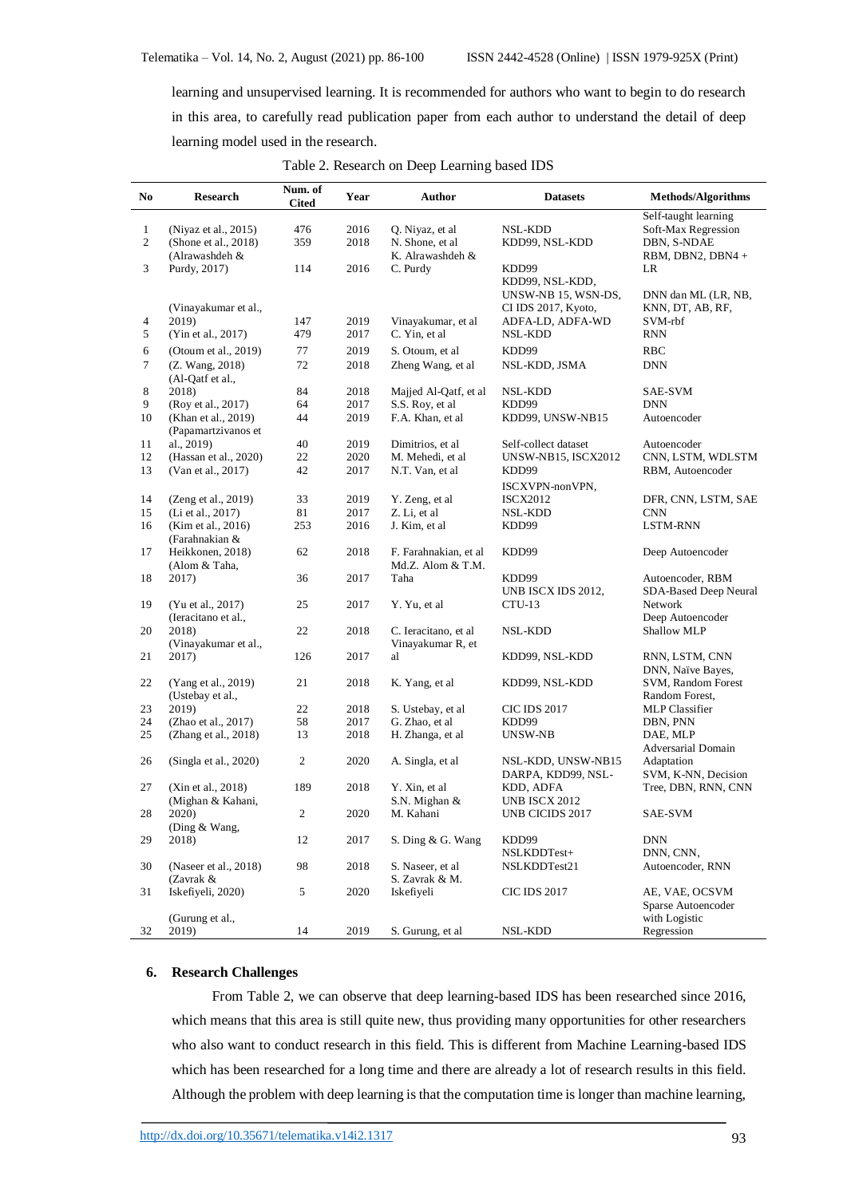learning and unsupervised learning. It is recommended for authors who want to begin to do research in this area, to carefully read publication paper from each author to understand the detail of deep learning model used in the research.

| N <sub>0</sub>                   | <b>Research</b>                                                | Num. of<br><b>Cited</b> | Year         | Author                                                  | <b>Datasets</b>                                    | <b>Methods/Algorithms</b>                                                       |
|----------------------------------|----------------------------------------------------------------|-------------------------|--------------|---------------------------------------------------------|----------------------------------------------------|---------------------------------------------------------------------------------|
| $\mathbf{1}$<br>$\boldsymbol{2}$ | (Niyaz et al., 2015)<br>(Shone et al., 2018)<br>(Alrawashdeh & | 476<br>359              | 2016<br>2018 | Q. Niyaz, et al<br>N. Shone, et al.<br>K. Alrawashdeh & | NSL-KDD<br>KDD99, NSL-KDD                          | Self-taught learning<br>Soft-Max Regression<br>DBN, S-NDAE<br>RBM, DBN2, DBN4 + |
| 3                                | Purdy, 2017)                                                   | 114                     | 2016         | C. Purdy                                                | KDD99<br>KDD99, NSL-KDD,<br>UNSW-NB 15, WSN-DS,    | LR<br>DNN dan ML (LR, NB,                                                       |
| 4<br>$5\,$                       | (Vinayakumar et al.,<br>2019)<br>(Yin et al., 2017)            | 147<br>479              | 2019<br>2017 | Vinayakumar, et al<br>C. Yin, et al                     | CI IDS 2017, Kyoto,<br>ADFA-LD, ADFA-WD<br>NSL-KDD | KNN, DT, AB, RF,<br>SVM-rbf<br><b>RNN</b>                                       |
| 6                                | (Otoum et al., 2019)                                           | 77                      | 2019         | S. Otoum, et al.                                        | KDD99                                              | RBC                                                                             |
| $\tau$                           | (Z. Wang, 2018)<br>(Al-Qatf et al.,                            | 72                      | 2018         | Zheng Wang, et al                                       | NSL-KDD, JSMA                                      | <b>DNN</b>                                                                      |
| $\,8\,$                          | 2018)                                                          | 84                      | 2018         | Majjed Al-Qatf, et al                                   | NSL-KDD                                            | SAE-SVM                                                                         |
| 9                                | (Roy et al., 2017)                                             | 64                      | 2017         | S.S. Roy, et al.                                        | KDD99                                              | DNN                                                                             |
| 10                               | (Khan et al., 2019)<br>(Papamartzivanos et                     | 44                      | 2019         | F.A. Khan, et al                                        | KDD99, UNSW-NB15                                   | Autoencoder                                                                     |
| 11                               | al., 2019)                                                     | 40                      | 2019         | Dimitrios, et al                                        | Self-collect dataset                               | Autoencoder                                                                     |
| 12                               | (Hassan et al., 2020)                                          | 22                      | 2020         | M. Mehedi, et al                                        | <b>UNSW-NB15, ISCX2012</b>                         | CNN, LSTM, WDLSTM                                                               |
| 13                               | (Van et al., 2017)                                             | 42                      | 2017         | N.T. Van, et al                                         | KDD99<br>ISCXVPN-nonVPN,                           | RBM, Autoencoder                                                                |
| 14                               | (Zeng et al., 2019)                                            | 33                      | 2019         | Y. Zeng, et al.                                         | <b>ISCX2012</b>                                    | DFR, CNN, LSTM, SAE                                                             |
| 15                               | (Li et al., 2017)                                              | 81                      | 2017         | Z. Li, et al                                            | <b>NSL-KDD</b>                                     | <b>CNN</b>                                                                      |
| 16                               | (Kim et al., 2016)<br>(Farahnakian &                           | 253                     | 2016         | J. Kim, et al                                           | KDD99                                              | LSTM-RNN                                                                        |
| 17                               | Heikkonen, 2018)<br>(Alom & Taha,                              | 62                      | 2018         | F. Farahnakian, et al<br>Md.Z. Alom & T.M.              | KDD99                                              | Deep Autoencoder                                                                |
| 18                               | 2017)                                                          | 36                      | 2017         | Taha                                                    | KDD99<br>UNB ISCX IDS 2012,                        | Autoencoder, RBM<br>SDA-Based Deep Neural                                       |
| 19                               | (Yu et al., 2017)<br>(Ieracitano et al.,                       | 25                      | 2017         | Y. Yu, et al                                            | $CTU-13$                                           | Network<br>Deep Autoencoder                                                     |
| 20                               | 2018)<br>(Vinayakumar et al.,                                  | 22                      | 2018         | C. Ieracitano, et al<br>Vinayakumar R, et               | NSL-KDD                                            | Shallow MLP                                                                     |
| 21                               | 2017)                                                          | 126                     | 2017         | al                                                      | KDD99, NSL-KDD                                     | RNN, LSTM, CNN<br>DNN, Naïve Bayes,                                             |
| 22                               | (Yang et al., 2019)<br>(Ustebay et al.,                        | 21                      | 2018         | K. Yang, et al.                                         | KDD99, NSL-KDD                                     | SVM, Random Forest<br>Random Forest,                                            |
| 23                               | 2019)                                                          | 22                      | 2018         | S. Ustebay, et al.                                      | <b>CIC IDS 2017</b>                                | <b>MLP</b> Classifier                                                           |
| 24                               | (Zhao et al., 2017)                                            | 58                      | 2017         | G. Zhao, et al                                          | KDD99                                              | DBN, PNN                                                                        |
| 25                               | (Zhang et al., 2018)                                           | 13                      | 2018         | H. Zhanga, et al                                        | UNSW-NB                                            | DAE, MLP<br>Adversarial Domain                                                  |
| 26                               | (Singla et al., 2020)                                          | 2                       | 2020         | A. Singla, et al.                                       | NSL-KDD, UNSW-NB15<br>DARPA, KDD99, NSL-           | Adaptation<br>SVM, K-NN, Decision                                               |
| 27                               | (Xin et al., 2018)<br>(Mighan & Kahani,                        | 189                     | 2018         | Y. Xin, et al<br>S.N. Mighan &                          | KDD, ADFA<br><b>UNB ISCX 2012</b>                  | Tree, DBN, RNN, CNN                                                             |
| 28                               | 2020)<br>(Ding $&$ Wang,                                       | $\overline{c}$          | 2020         | M. Kahani                                               | UNB CICIDS 2017                                    | SAE-SVM                                                                         |
| 29                               | 2018)                                                          | 12                      | 2017         | S. Ding & G. Wang                                       | KDD99<br>NSLKDDTest+                               | <b>DNN</b><br>DNN, CNN,                                                         |
| 30                               | (Naseer et al., 2018)<br>(Zavrak &                             | 98                      | 2018         | S. Naseer, et al.<br>S. Zavrak & M.                     | NSLKDDTest21                                       | Autoencoder, RNN                                                                |
| 31                               | Iskefiyeli, 2020)                                              | 5                       | 2020         | Iskefiyeli                                              | <b>CIC IDS 2017</b>                                | AE, VAE, OCSVM<br>Sparse Autoencoder                                            |
| 32                               | (Gurung et al.,<br>2019)                                       | 14                      | 2019         | S. Gurung, et al.                                       | NSL-KDD                                            | with Logistic<br>Regression                                                     |

Table 2. Research on Deep Learning based IDS

# **6. Research Challenges**

From Table 2, we can observe that deep learning-based IDS has been researched since 2016, which means that this area is still quite new, thus providing many opportunities for other researchers who also want to conduct research in this field. This is different from Machine Learning-based IDS which has been researched for a long time and there are already a lot of research results in this field. Although the problem with deep learning is that the computation time is longer than machine learning,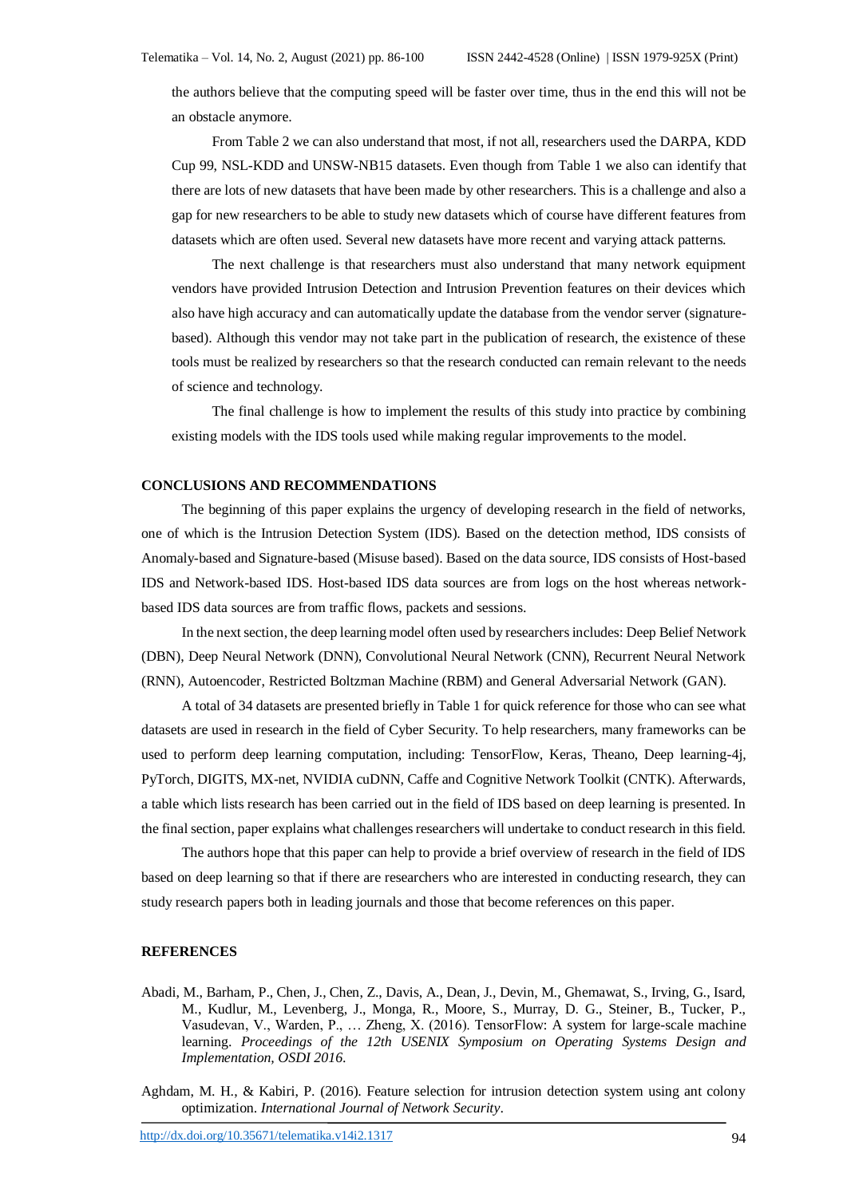the authors believe that the computing speed will be faster over time, thus in the end this will not be an obstacle anymore.

From Table 2 we can also understand that most, if not all, researchers used the DARPA, KDD Cup 99, NSL-KDD and UNSW-NB15 datasets. Even though from Table 1 we also can identify that there are lots of new datasets that have been made by other researchers. This is a challenge and also a gap for new researchers to be able to study new datasets which of course have different features from datasets which are often used. Several new datasets have more recent and varying attack patterns.

The next challenge is that researchers must also understand that many network equipment vendors have provided Intrusion Detection and Intrusion Prevention features on their devices which also have high accuracy and can automatically update the database from the vendor server (signaturebased). Although this vendor may not take part in the publication of research, the existence of these tools must be realized by researchers so that the research conducted can remain relevant to the needs of science and technology.

The final challenge is how to implement the results of this study into practice by combining existing models with the IDS tools used while making regular improvements to the model.

### **CONCLUSIONS AND RECOMMENDATIONS**

The beginning of this paper explains the urgency of developing research in the field of networks, one of which is the Intrusion Detection System (IDS). Based on the detection method, IDS consists of Anomaly-based and Signature-based (Misuse based). Based on the data source, IDS consists of Host-based IDS and Network-based IDS. Host-based IDS data sources are from logs on the host whereas networkbased IDS data sources are from traffic flows, packets and sessions.

In the next section, the deep learning model often used by researchers includes: Deep Belief Network (DBN), Deep Neural Network (DNN), Convolutional Neural Network (CNN), Recurrent Neural Network (RNN), Autoencoder, Restricted Boltzman Machine (RBM) and General Adversarial Network (GAN).

A total of 34 datasets are presented briefly in Table 1 for quick reference for those who can see what datasets are used in research in the field of Cyber Security. To help researchers, many frameworks can be used to perform deep learning computation, including: TensorFlow, Keras, Theano, Deep learning-4j, PyTorch, DIGITS, MX-net, NVIDIA cuDNN, Caffe and Cognitive Network Toolkit (CNTK). Afterwards, a table which lists research has been carried out in the field of IDS based on deep learning is presented. In the final section, paper explains what challenges researchers will undertake to conduct research in this field.

The authors hope that this paper can help to provide a brief overview of research in the field of IDS based on deep learning so that if there are researchers who are interested in conducting research, they can study research papers both in leading journals and those that become references on this paper.

#### **REFERENCES**

- Abadi, M., Barham, P., Chen, J., Chen, Z., Davis, A., Dean, J., Devin, M., Ghemawat, S., Irving, G., Isard, M., Kudlur, M., Levenberg, J., Monga, R., Moore, S., Murray, D. G., Steiner, B., Tucker, P., Vasudevan, V., Warden, P., … Zheng, X. (2016). TensorFlow: A system for large-scale machine learning. *Proceedings of the 12th USENIX Symposium on Operating Systems Design and Implementation, OSDI 2016*.
- Aghdam, M. H., & Kabiri, P. (2016). Feature selection for intrusion detection system using ant colony optimization. *International Journal of Network Security*.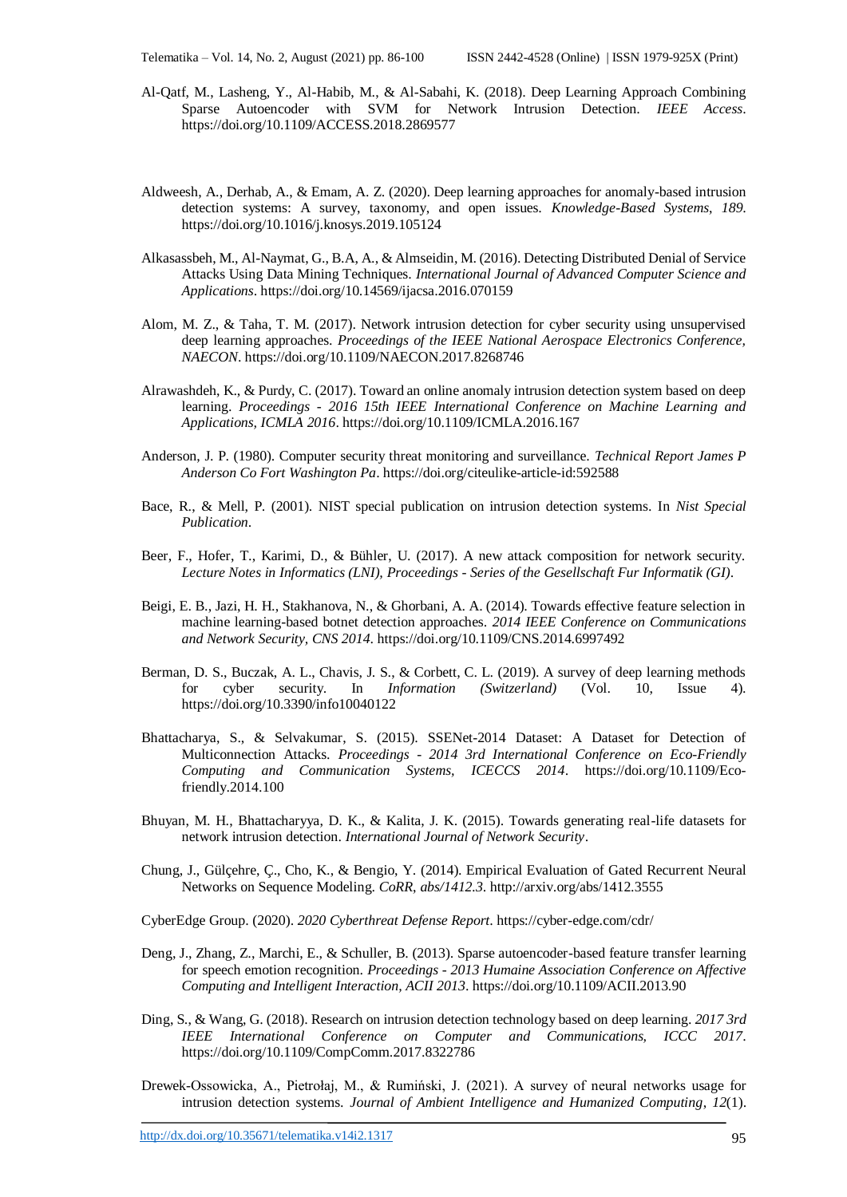- Al-Qatf, M., Lasheng, Y., Al-Habib, M., & Al-Sabahi, K. (2018). Deep Learning Approach Combining Sparse Autoencoder with SVM for Network Intrusion Detection. *IEEE Access*. https://doi.org/10.1109/ACCESS.2018.2869577
- Aldweesh, A., Derhab, A., & Emam, A. Z. (2020). Deep learning approaches for anomaly-based intrusion detection systems: A survey, taxonomy, and open issues. *Knowledge-Based Systems*, *189*. https://doi.org/10.1016/j.knosys.2019.105124
- Alkasassbeh, M., Al-Naymat, G., B.A, A., & Almseidin, M. (2016). Detecting Distributed Denial of Service Attacks Using Data Mining Techniques. *International Journal of Advanced Computer Science and Applications*. https://doi.org/10.14569/ijacsa.2016.070159
- Alom, M. Z., & Taha, T. M. (2017). Network intrusion detection for cyber security using unsupervised deep learning approaches. *Proceedings of the IEEE National Aerospace Electronics Conference, NAECON*. https://doi.org/10.1109/NAECON.2017.8268746
- Alrawashdeh, K., & Purdy, C. (2017). Toward an online anomaly intrusion detection system based on deep learning. *Proceedings - 2016 15th IEEE International Conference on Machine Learning and Applications, ICMLA 2016*. https://doi.org/10.1109/ICMLA.2016.167
- Anderson, J. P. (1980). Computer security threat monitoring and surveillance. *Technical Report James P Anderson Co Fort Washington Pa*. https://doi.org/citeulike-article-id:592588
- Bace, R., & Mell, P. (2001). NIST special publication on intrusion detection systems. In *Nist Special Publication*.
- Beer, F., Hofer, T., Karimi, D., & Bühler, U. (2017). A new attack composition for network security. *Lecture Notes in Informatics (LNI), Proceedings - Series of the Gesellschaft Fur Informatik (GI)*.
- Beigi, E. B., Jazi, H. H., Stakhanova, N., & Ghorbani, A. A. (2014). Towards effective feature selection in machine learning-based botnet detection approaches. *2014 IEEE Conference on Communications and Network Security, CNS 2014*. https://doi.org/10.1109/CNS.2014.6997492
- Berman, D. S., Buczak, A. L., Chavis, J. S., & Corbett, C. L. (2019). A survey of deep learning methods for cyber security. In *Information (Switzerland)* (Vol. 10, Issue 4). https://doi.org/10.3390/info10040122
- Bhattacharya, S., & Selvakumar, S. (2015). SSENet-2014 Dataset: A Dataset for Detection of Multiconnection Attacks. *Proceedings - 2014 3rd International Conference on Eco-Friendly Computing and Communication Systems, ICECCS 2014*. https://doi.org/10.1109/Ecofriendly.2014.100
- Bhuyan, M. H., Bhattacharyya, D. K., & Kalita, J. K. (2015). Towards generating real-life datasets for network intrusion detection. *International Journal of Network Security*.
- Chung, J., Gülçehre, Ç., Cho, K., & Bengio, Y. (2014). Empirical Evaluation of Gated Recurrent Neural Networks on Sequence Modeling. *CoRR*, *abs/1412.3*. http://arxiv.org/abs/1412.3555

CyberEdge Group. (2020). *2020 Cyberthreat Defense Report*. https://cyber-edge.com/cdr/

- Deng, J., Zhang, Z., Marchi, E., & Schuller, B. (2013). Sparse autoencoder-based feature transfer learning for speech emotion recognition. *Proceedings - 2013 Humaine Association Conference on Affective Computing and Intelligent Interaction, ACII 2013*. https://doi.org/10.1109/ACII.2013.90
- Ding, S., & Wang, G. (2018). Research on intrusion detection technology based on deep learning. *2017 3rd IEEE International Conference on Computer and Communications, ICCC 2017*. https://doi.org/10.1109/CompComm.2017.8322786
- Drewek-Ossowicka, A., Pietrołaj, M., & Rumiński, J. (2021). A survey of neural networks usage for intrusion detection systems. *Journal of Ambient Intelligence and Humanized Computing*, *12*(1).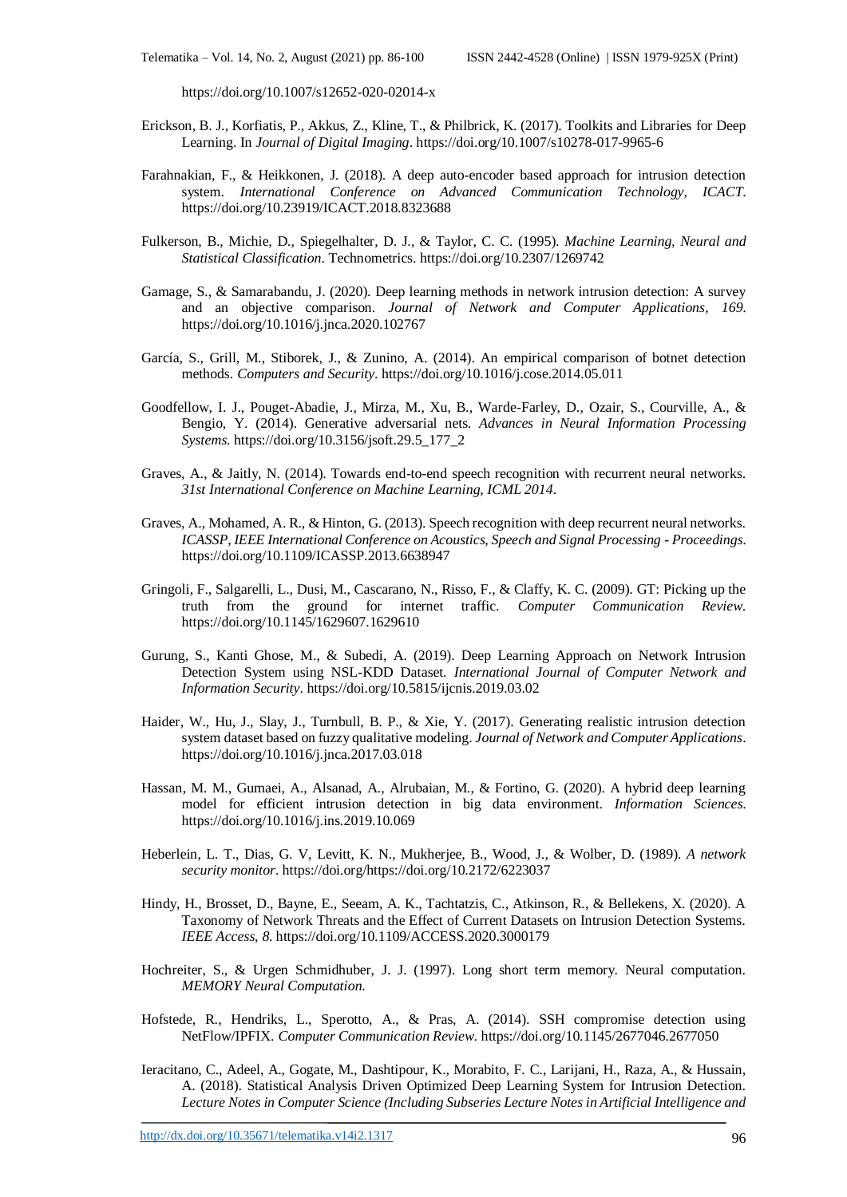https://doi.org/10.1007/s12652-020-02014-x

- Erickson, B. J., Korfiatis, P., Akkus, Z., Kline, T., & Philbrick, K. (2017). Toolkits and Libraries for Deep Learning. In *Journal of Digital Imaging*. https://doi.org/10.1007/s10278-017-9965-6
- Farahnakian, F., & Heikkonen, J. (2018). A deep auto-encoder based approach for intrusion detection system. *International Conference on Advanced Communication Technology, ICACT*. https://doi.org/10.23919/ICACT.2018.8323688
- Fulkerson, B., Michie, D., Spiegelhalter, D. J., & Taylor, C. C. (1995). *Machine Learning, Neural and Statistical Classification*. Technometrics. https://doi.org/10.2307/1269742
- Gamage, S., & Samarabandu, J. (2020). Deep learning methods in network intrusion detection: A survey and an objective comparison. *Journal of Network and Computer Applications*, *169*. https://doi.org/10.1016/j.jnca.2020.102767
- García, S., Grill, M., Stiborek, J., & Zunino, A. (2014). An empirical comparison of botnet detection methods. *Computers and Security*. https://doi.org/10.1016/j.cose.2014.05.011
- Goodfellow, I. J., Pouget-Abadie, J., Mirza, M., Xu, B., Warde-Farley, D., Ozair, S., Courville, A., & Bengio, Y. (2014). Generative adversarial nets. *Advances in Neural Information Processing Systems*. https://doi.org/10.3156/jsoft.29.5\_177\_2
- Graves, A., & Jaitly, N. (2014). Towards end-to-end speech recognition with recurrent neural networks. *31st International Conference on Machine Learning, ICML 2014*.
- Graves, A., Mohamed, A. R., & Hinton, G. (2013). Speech recognition with deep recurrent neural networks. *ICASSP, IEEE International Conference on Acoustics, Speech and Signal Processing - Proceedings*. https://doi.org/10.1109/ICASSP.2013.6638947
- Gringoli, F., Salgarelli, L., Dusi, M., Cascarano, N., Risso, F., & Claffy, K. C. (2009). GT: Picking up the truth from the ground for internet traffic. *Computer Communication Review*. https://doi.org/10.1145/1629607.1629610
- Gurung, S., Kanti Ghose, M., & Subedi, A. (2019). Deep Learning Approach on Network Intrusion Detection System using NSL-KDD Dataset. *International Journal of Computer Network and Information Security*. https://doi.org/10.5815/ijcnis.2019.03.02
- Haider, W., Hu, J., Slay, J., Turnbull, B. P., & Xie, Y. (2017). Generating realistic intrusion detection system dataset based on fuzzy qualitative modeling. *Journal of Network and Computer Applications*. https://doi.org/10.1016/j.jnca.2017.03.018
- Hassan, M. M., Gumaei, A., Alsanad, A., Alrubaian, M., & Fortino, G. (2020). A hybrid deep learning model for efficient intrusion detection in big data environment. *Information Sciences*. https://doi.org/10.1016/j.ins.2019.10.069
- Heberlein, L. T., Dias, G. V, Levitt, K. N., Mukherjee, B., Wood, J., & Wolber, D. (1989). *A network security monitor*. https://doi.org/https://doi.org/10.2172/6223037
- Hindy, H., Brosset, D., Bayne, E., Seeam, A. K., Tachtatzis, C., Atkinson, R., & Bellekens, X. (2020). A Taxonomy of Network Threats and the Effect of Current Datasets on Intrusion Detection Systems. *IEEE Access*, *8*. https://doi.org/10.1109/ACCESS.2020.3000179
- Hochreiter, S., & Urgen Schmidhuber, J. J. (1997). Long short term memory. Neural computation. *MEMORY Neural Computation*.
- Hofstede, R., Hendriks, L., Sperotto, A., & Pras, A. (2014). SSH compromise detection using NetFlow/IPFIX. *Computer Communication Review*. https://doi.org/10.1145/2677046.2677050
- Ieracitano, C., Adeel, A., Gogate, M., Dashtipour, K., Morabito, F. C., Larijani, H., Raza, A., & Hussain, A. (2018). Statistical Analysis Driven Optimized Deep Learning System for Intrusion Detection. *Lecture Notes in Computer Science (Including Subseries Lecture Notes in Artificial Intelligence and*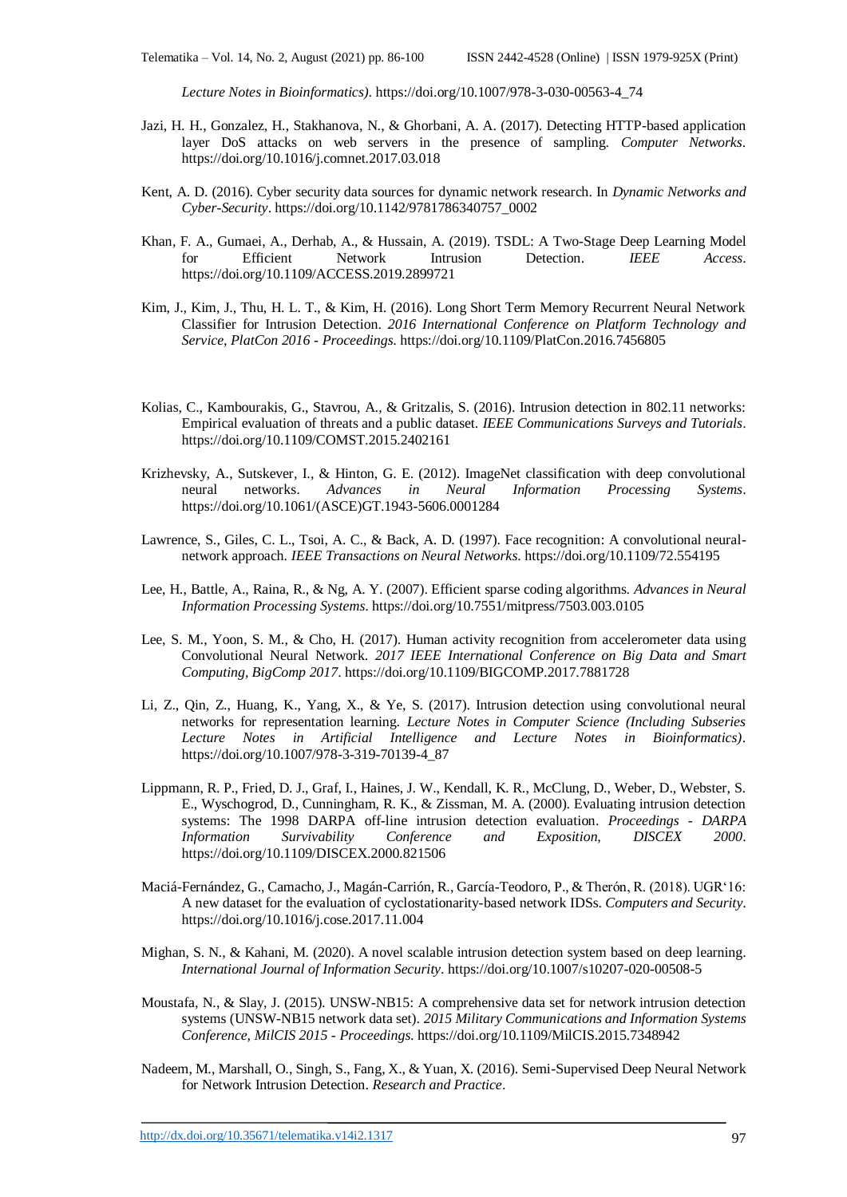*Lecture Notes in Bioinformatics)*. https://doi.org/10.1007/978-3-030-00563-4\_74

- Jazi, H. H., Gonzalez, H., Stakhanova, N., & Ghorbani, A. A. (2017). Detecting HTTP-based application layer DoS attacks on web servers in the presence of sampling. *Computer Networks*. https://doi.org/10.1016/j.comnet.2017.03.018
- Kent, A. D. (2016). Cyber security data sources for dynamic network research. In *Dynamic Networks and Cyber-Security*. https://doi.org/10.1142/9781786340757\_0002
- Khan, F. A., Gumaei, A., Derhab, A., & Hussain, A. (2019). TSDL: A Two-Stage Deep Learning Model for Efficient Network Intrusion Detection. *IEEE Access*. https://doi.org/10.1109/ACCESS.2019.2899721
- Kim, J., Kim, J., Thu, H. L. T., & Kim, H. (2016). Long Short Term Memory Recurrent Neural Network Classifier for Intrusion Detection. *2016 International Conference on Platform Technology and Service, PlatCon 2016 - Proceedings*. https://doi.org/10.1109/PlatCon.2016.7456805
- Kolias, C., Kambourakis, G., Stavrou, A., & Gritzalis, S. (2016). Intrusion detection in 802.11 networks: Empirical evaluation of threats and a public dataset. *IEEE Communications Surveys and Tutorials*. https://doi.org/10.1109/COMST.2015.2402161
- Krizhevsky, A., Sutskever, I., & Hinton, G. E. (2012). ImageNet classification with deep convolutional neural networks. *Advances in Neural Information Processing Systems*. https://doi.org/10.1061/(ASCE)GT.1943-5606.0001284
- Lawrence, S., Giles, C. L., Tsoi, A. C., & Back, A. D. (1997). Face recognition: A convolutional neuralnetwork approach. *IEEE Transactions on Neural Networks*. https://doi.org/10.1109/72.554195
- Lee, H., Battle, A., Raina, R., & Ng, A. Y. (2007). Efficient sparse coding algorithms. *Advances in Neural Information Processing Systems*. https://doi.org/10.7551/mitpress/7503.003.0105
- Lee, S. M., Yoon, S. M., & Cho, H. (2017). Human activity recognition from accelerometer data using Convolutional Neural Network. *2017 IEEE International Conference on Big Data and Smart Computing, BigComp 2017*. https://doi.org/10.1109/BIGCOMP.2017.7881728
- Li, Z., Qin, Z., Huang, K., Yang, X., & Ye, S. (2017). Intrusion detection using convolutional neural networks for representation learning. *Lecture Notes in Computer Science (Including Subseries Lecture Notes in Artificial Intelligence and Lecture Notes in Bioinformatics)*. https://doi.org/10.1007/978-3-319-70139-4\_87
- Lippmann, R. P., Fried, D. J., Graf, I., Haines, J. W., Kendall, K. R., McClung, D., Weber, D., Webster, S. E., Wyschogrod, D., Cunningham, R. K., & Zissman, M. A. (2000). Evaluating intrusion detection systems: The 1998 DARPA off-line intrusion detection evaluation. *Proceedings - DARPA Information Survivability Conference and Exposition, DISCEX 2000*. https://doi.org/10.1109/DISCEX.2000.821506
- Maciá-Fernández, G., Camacho, J., Magán-Carrión, R., García-Teodoro, P., & Therón, R. (2018). UGR'16: A new dataset for the evaluation of cyclostationarity-based network IDSs. *Computers and Security*. https://doi.org/10.1016/j.cose.2017.11.004
- Mighan, S. N., & Kahani, M. (2020). A novel scalable intrusion detection system based on deep learning. *International Journal of Information Security*. https://doi.org/10.1007/s10207-020-00508-5
- Moustafa, N., & Slay, J. (2015). UNSW-NB15: A comprehensive data set for network intrusion detection systems (UNSW-NB15 network data set). *2015 Military Communications and Information Systems Conference, MilCIS 2015 - Proceedings*. https://doi.org/10.1109/MilCIS.2015.7348942
- Nadeem, M., Marshall, O., Singh, S., Fang, X., & Yuan, X. (2016). Semi-Supervised Deep Neural Network for Network Intrusion Detection. *Research and Practice*.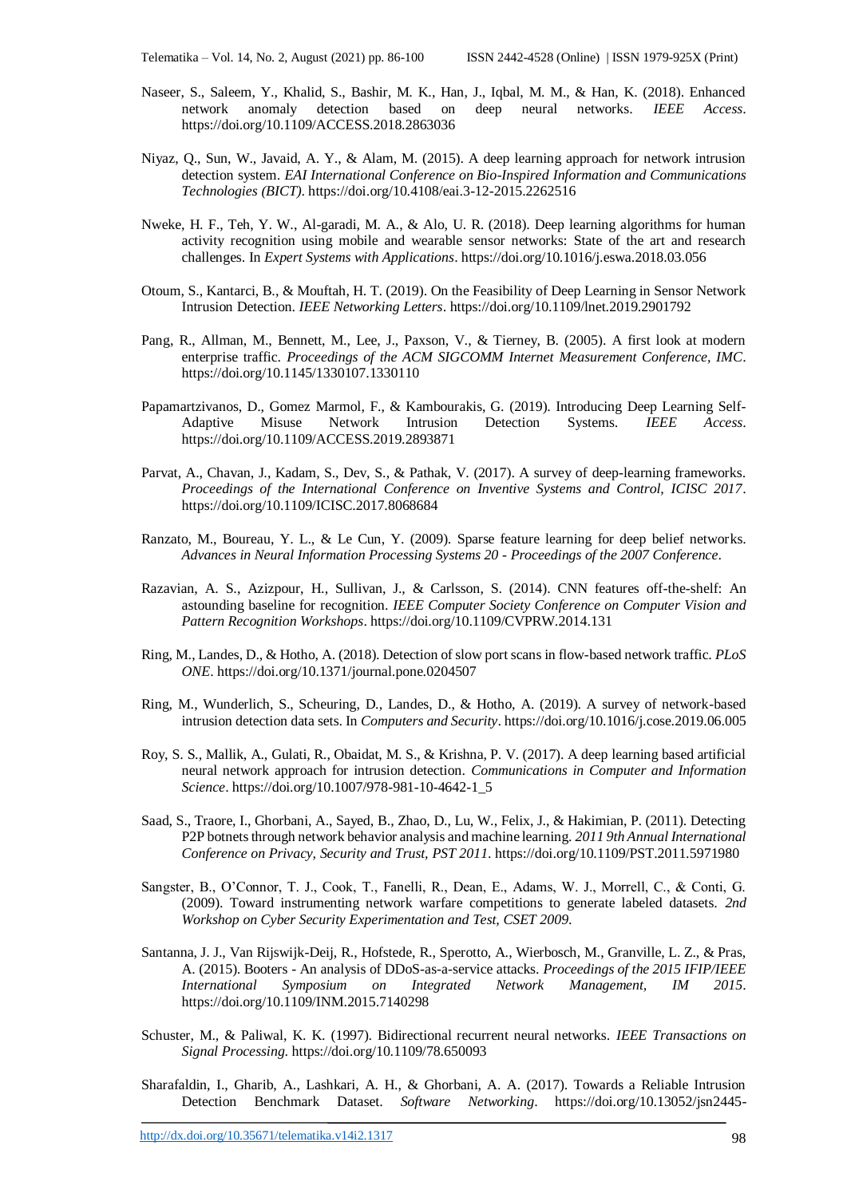- Naseer, S., Saleem, Y., Khalid, S., Bashir, M. K., Han, J., Iqbal, M. M., & Han, K. (2018). Enhanced network anomaly detection based on deep neural networks. *IEEE Access*. https://doi.org/10.1109/ACCESS.2018.2863036
- Niyaz, Q., Sun, W., Javaid, A. Y., & Alam, M. (2015). A deep learning approach for network intrusion detection system. *EAI International Conference on Bio-Inspired Information and Communications Technologies (BICT)*. https://doi.org/10.4108/eai.3-12-2015.2262516
- Nweke, H. F., Teh, Y. W., Al-garadi, M. A., & Alo, U. R. (2018). Deep learning algorithms for human activity recognition using mobile and wearable sensor networks: State of the art and research challenges. In *Expert Systems with Applications*. https://doi.org/10.1016/j.eswa.2018.03.056
- Otoum, S., Kantarci, B., & Mouftah, H. T. (2019). On the Feasibility of Deep Learning in Sensor Network Intrusion Detection. *IEEE Networking Letters*. https://doi.org/10.1109/lnet.2019.2901792
- Pang, R., Allman, M., Bennett, M., Lee, J., Paxson, V., & Tierney, B. (2005). A first look at modern enterprise traffic. *Proceedings of the ACM SIGCOMM Internet Measurement Conference, IMC*. https://doi.org/10.1145/1330107.1330110
- Papamartzivanos, D., Gomez Marmol, F., & Kambourakis, G. (2019). Introducing Deep Learning Self-Adaptive Misuse Network Intrusion Detection Systems. *IEEE Access*. https://doi.org/10.1109/ACCESS.2019.2893871
- Parvat, A., Chavan, J., Kadam, S., Dev, S., & Pathak, V. (2017). A survey of deep-learning frameworks. *Proceedings of the International Conference on Inventive Systems and Control, ICISC 2017*. https://doi.org/10.1109/ICISC.2017.8068684
- Ranzato, M., Boureau, Y. L., & Le Cun, Y. (2009). Sparse feature learning for deep belief networks. *Advances in Neural Information Processing Systems 20 - Proceedings of the 2007 Conference*.
- Razavian, A. S., Azizpour, H., Sullivan, J., & Carlsson, S. (2014). CNN features off-the-shelf: An astounding baseline for recognition. *IEEE Computer Society Conference on Computer Vision and Pattern Recognition Workshops*. https://doi.org/10.1109/CVPRW.2014.131
- Ring, M., Landes, D., & Hotho, A. (2018). Detection of slow port scans in flow-based network traffic. *PLoS ONE*. https://doi.org/10.1371/journal.pone.0204507
- Ring, M., Wunderlich, S., Scheuring, D., Landes, D., & Hotho, A. (2019). A survey of network-based intrusion detection data sets. In *Computers and Security*. https://doi.org/10.1016/j.cose.2019.06.005
- Roy, S. S., Mallik, A., Gulati, R., Obaidat, M. S., & Krishna, P. V. (2017). A deep learning based artificial neural network approach for intrusion detection. *Communications in Computer and Information Science*. https://doi.org/10.1007/978-981-10-4642-1\_5
- Saad, S., Traore, I., Ghorbani, A., Sayed, B., Zhao, D., Lu, W., Felix, J., & Hakimian, P. (2011). Detecting P2P botnets through network behavior analysis and machine learning. *2011 9th Annual International Conference on Privacy, Security and Trust, PST 2011*. https://doi.org/10.1109/PST.2011.5971980
- Sangster, B., O'Connor, T. J., Cook, T., Fanelli, R., Dean, E., Adams, W. J., Morrell, C., & Conti, G. (2009). Toward instrumenting network warfare competitions to generate labeled datasets. *2nd Workshop on Cyber Security Experimentation and Test, CSET 2009*.
- Santanna, J. J., Van Rijswijk-Deij, R., Hofstede, R., Sperotto, A., Wierbosch, M., Granville, L. Z., & Pras, A. (2015). Booters - An analysis of DDoS-as-a-service attacks. *Proceedings of the 2015 IFIP/IEEE International Symposium on Integrated Network Management, IM 2015*. https://doi.org/10.1109/INM.2015.7140298
- Schuster, M., & Paliwal, K. K. (1997). Bidirectional recurrent neural networks. *IEEE Transactions on Signal Processing*. https://doi.org/10.1109/78.650093
- Sharafaldin, I., Gharib, A., Lashkari, A. H., & Ghorbani, A. A. (2017). Towards a Reliable Intrusion Detection Benchmark Dataset. *Software Networking*. https://doi.org/10.13052/jsn2445-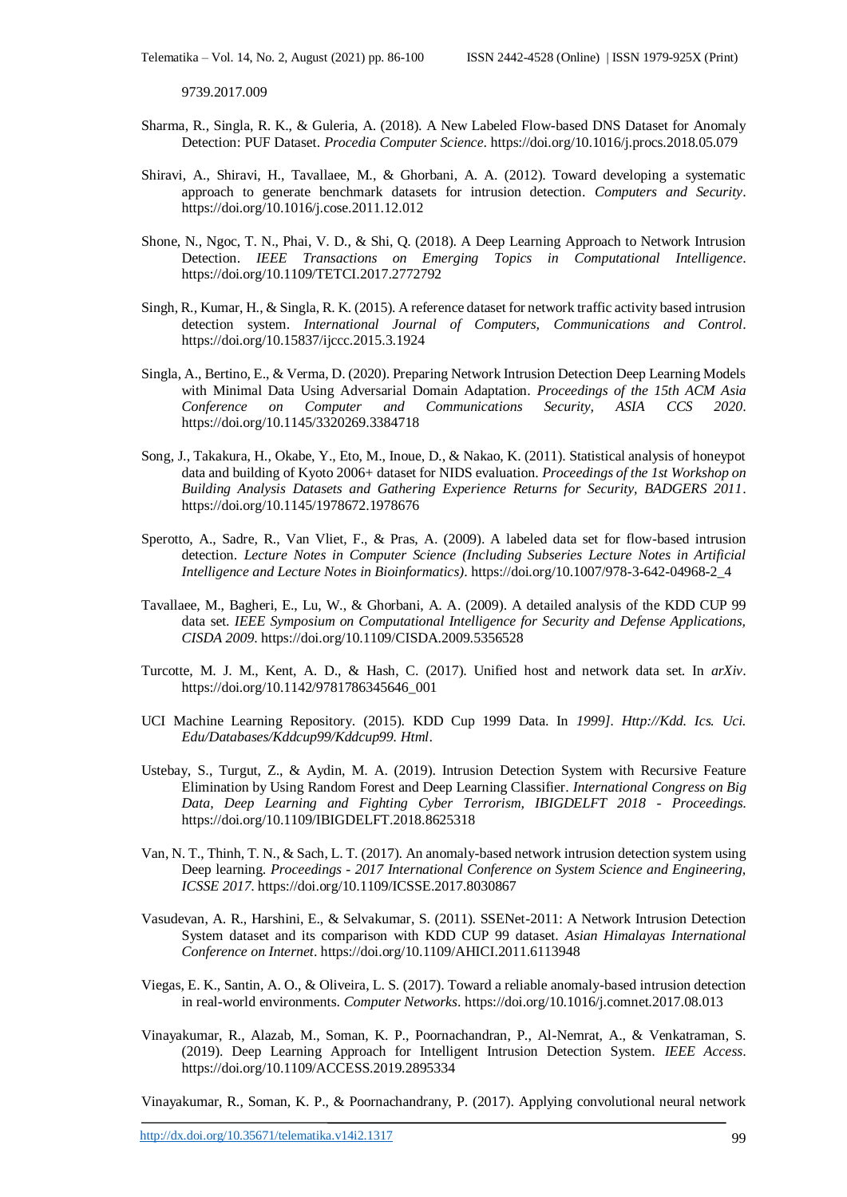9739.2017.009

- Sharma, R., Singla, R. K., & Guleria, A. (2018). A New Labeled Flow-based DNS Dataset for Anomaly Detection: PUF Dataset. *Procedia Computer Science*. https://doi.org/10.1016/j.procs.2018.05.079
- Shiravi, A., Shiravi, H., Tavallaee, M., & Ghorbani, A. A. (2012). Toward developing a systematic approach to generate benchmark datasets for intrusion detection. *Computers and Security*. https://doi.org/10.1016/j.cose.2011.12.012
- Shone, N., Ngoc, T. N., Phai, V. D., & Shi, Q. (2018). A Deep Learning Approach to Network Intrusion Detection. *IEEE Transactions on Emerging Topics in Computational Intelligence*. https://doi.org/10.1109/TETCI.2017.2772792
- Singh, R., Kumar, H., & Singla, R. K. (2015). A reference dataset for network traffic activity based intrusion detection system. *International Journal of Computers, Communications and Control*. https://doi.org/10.15837/ijccc.2015.3.1924
- Singla, A., Bertino, E., & Verma, D. (2020). Preparing Network Intrusion Detection Deep Learning Models with Minimal Data Using Adversarial Domain Adaptation. *Proceedings of the 15th ACM Asia Conference on Computer and Communications Security, ASIA CCS 2020*. https://doi.org/10.1145/3320269.3384718
- Song, J., Takakura, H., Okabe, Y., Eto, M., Inoue, D., & Nakao, K. (2011). Statistical analysis of honeypot data and building of Kyoto 2006+ dataset for NIDS evaluation. *Proceedings of the 1st Workshop on Building Analysis Datasets and Gathering Experience Returns for Security, BADGERS 2011*. https://doi.org/10.1145/1978672.1978676
- Sperotto, A., Sadre, R., Van Vliet, F., & Pras, A. (2009). A labeled data set for flow-based intrusion detection. *Lecture Notes in Computer Science (Including Subseries Lecture Notes in Artificial Intelligence and Lecture Notes in Bioinformatics)*. https://doi.org/10.1007/978-3-642-04968-2\_4
- Tavallaee, M., Bagheri, E., Lu, W., & Ghorbani, A. A. (2009). A detailed analysis of the KDD CUP 99 data set. *IEEE Symposium on Computational Intelligence for Security and Defense Applications, CISDA 2009*. https://doi.org/10.1109/CISDA.2009.5356528
- Turcotte, M. J. M., Kent, A. D., & Hash, C. (2017). Unified host and network data set. In *arXiv*. https://doi.org/10.1142/9781786345646\_001
- UCI Machine Learning Repository. (2015). KDD Cup 1999 Data. In *1999]. Http://Kdd. Ics. Uci. Edu/Databases/Kddcup99/Kddcup99. Html*.
- Ustebay, S., Turgut, Z., & Aydin, M. A. (2019). Intrusion Detection System with Recursive Feature Elimination by Using Random Forest and Deep Learning Classifier. *International Congress on Big Data, Deep Learning and Fighting Cyber Terrorism, IBIGDELFT 2018 - Proceedings*. https://doi.org/10.1109/IBIGDELFT.2018.8625318
- Van, N. T., Thinh, T. N., & Sach, L. T. (2017). An anomaly-based network intrusion detection system using Deep learning. *Proceedings - 2017 International Conference on System Science and Engineering, ICSSE 2017*. https://doi.org/10.1109/ICSSE.2017.8030867
- Vasudevan, A. R., Harshini, E., & Selvakumar, S. (2011). SSENet-2011: A Network Intrusion Detection System dataset and its comparison with KDD CUP 99 dataset. *Asian Himalayas International Conference on Internet*. https://doi.org/10.1109/AHICI.2011.6113948
- Viegas, E. K., Santin, A. O., & Oliveira, L. S. (2017). Toward a reliable anomaly-based intrusion detection in real-world environments. *Computer Networks*. https://doi.org/10.1016/j.comnet.2017.08.013
- Vinayakumar, R., Alazab, M., Soman, K. P., Poornachandran, P., Al-Nemrat, A., & Venkatraman, S. (2019). Deep Learning Approach for Intelligent Intrusion Detection System. *IEEE Access*. https://doi.org/10.1109/ACCESS.2019.2895334

Vinayakumar, R., Soman, K. P., & Poornachandrany, P. (2017). Applying convolutional neural network